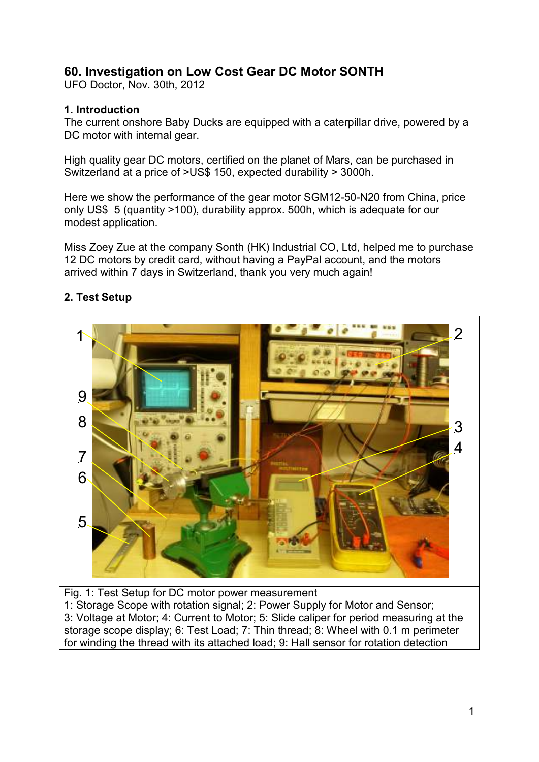# **60. Investigation on Low Cost Gear DC Motor SONTH**

UFO Doctor, Nov. 30th, 2012

#### **1. Introduction**

The current onshore Baby Ducks are equipped with a caterpillar drive, powered by a DC motor with internal gear.

High quality gear DC motors, certified on the planet of Mars, can be purchased in Switzerland at a price of >US\$ 150, expected durability > 3000h.

Here we show the performance of the gear motor SGM12-50-N20 from China, price only US\$ 5 (quantity >100), durability approx. 500h, which is adequate for our modest application.

Miss Zoey Zue at the company Sonth (HK) Industrial CO, Ltd, helped me to purchase 12 DC motors by credit card, without having a PayPal account, and the motors arrived within 7 days in Switzerland, thank you very much again!



### **2. Test Setup**

Fig. 1: Test Setup for DC motor power measurement 1: Storage Scope with rotation signal; 2: Power Supply for Motor and Sensor; 3: Voltage at Motor; 4: Current to Motor; 5: Slide caliper for period measuring at the storage scope display; 6: Test Load; 7: Thin thread; 8: Wheel with 0.1 m perimeter for winding the thread with its attached load; 9: Hall sensor for rotation detection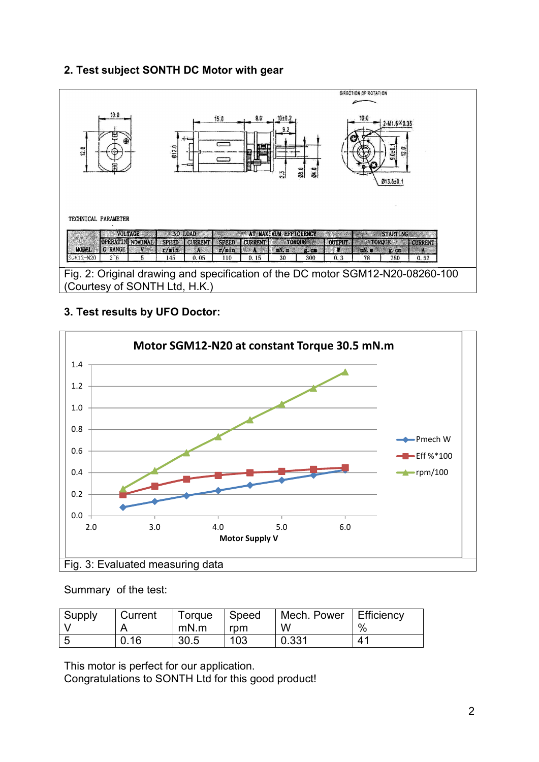### **2. Test subject SONTH DC Motor with gear**



### **3. Test results by UFO Doctor:**



Summary of the test:

| Supply | <b>Current</b> | Torque | Speed | Mech. Power | Efficiency            |
|--------|----------------|--------|-------|-------------|-----------------------|
|        |                | mN.m   | rom   | W           | $\%$                  |
| - 5    | 0.16           | 30.5   | 103   | 0.331       | $\mathbf{4}^{\prime}$ |

This motor is perfect for our application.

Congratulations to SONTH Ltd for this good product!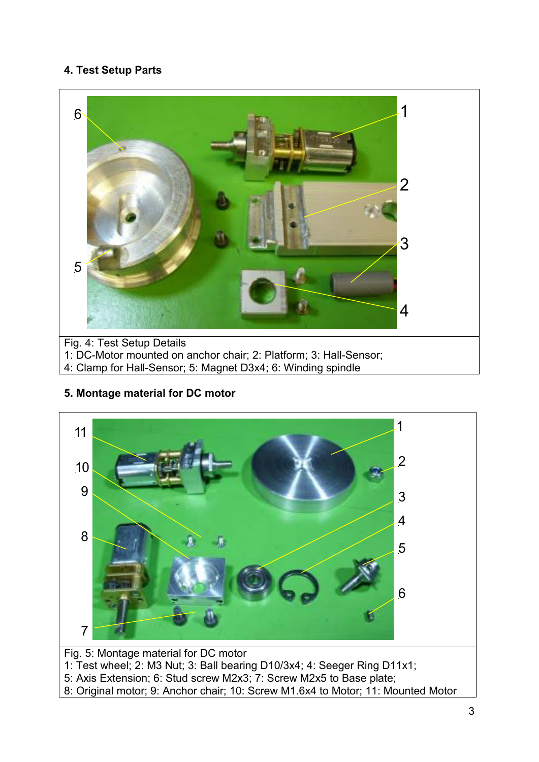# **4. Test Setup Parts**



**5. Montage material for DC motor** 

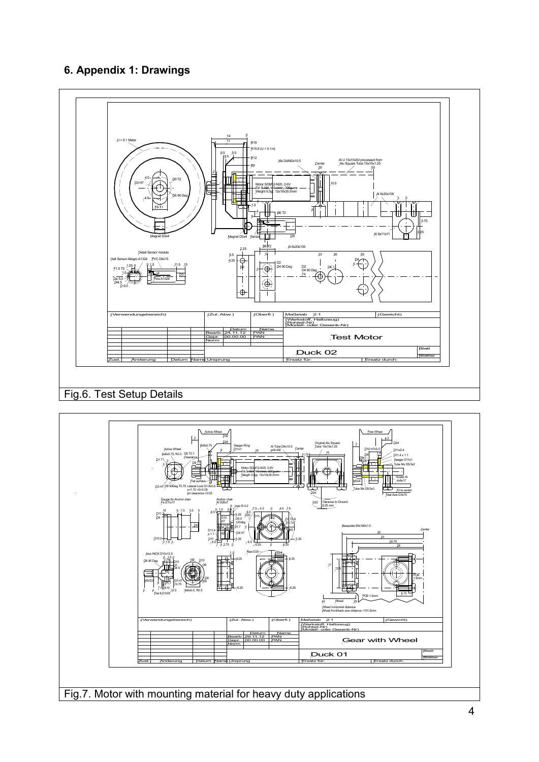# **6. Appendix 1: Drawings**



# Fig.6. Test Setup Details



Fig.7. Motor with mounting material for heavy duty applications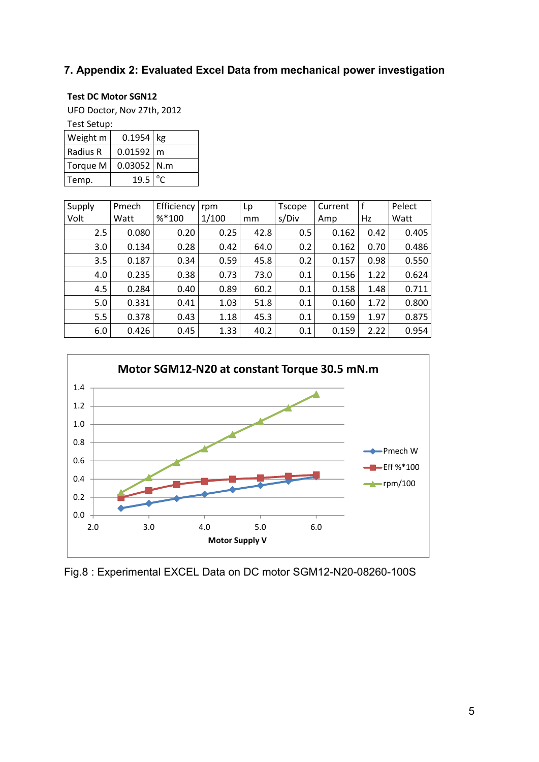### **7. Appendix 2: Evaluated Excel Data from mechanical power investigation**

#### **Test DC Motor SGN12**

UFO Doctor, Nov 27th, 2012

Test Setup:

| i car acrubi    |                       |  |  |  |  |  |
|-----------------|-----------------------|--|--|--|--|--|
| <b>Weight</b> m | $0.1954$ kg           |  |  |  |  |  |
| Radius R        | $0.01592 \, \rceil m$ |  |  |  |  |  |
| Torque M        | $0.03052$ N.m         |  |  |  |  |  |
| Temp.           | 19.5                  |  |  |  |  |  |

| Supply | Pmech | Efficiency | rpm   | Lp   | <b>Tscope</b> | Current |      | Pelect |
|--------|-------|------------|-------|------|---------------|---------|------|--------|
| Volt   | Watt  | $%*100$    | 1/100 | mm   | s/Div         | Amp     | Hz   | Watt   |
| 2.5    | 0.080 | 0.20       | 0.25  | 42.8 | 0.5           | 0.162   | 0.42 | 0.405  |
| 3.0    | 0.134 | 0.28       | 0.42  | 64.0 | 0.2           | 0.162   | 0.70 | 0.486  |
| 3.5    | 0.187 | 0.34       | 0.59  | 45.8 | 0.2           | 0.157   | 0.98 | 0.550  |
| 4.0    | 0.235 | 0.38       | 0.73  | 73.0 | 0.1           | 0.156   | 1.22 | 0.624  |
| 4.5    | 0.284 | 0.40       | 0.89  | 60.2 | 0.1           | 0.158   | 1.48 | 0.711  |
| 5.0    | 0.331 | 0.41       | 1.03  | 51.8 | 0.1           | 0.160   | 1.72 | 0.800  |
| 5.5    | 0.378 | 0.43       | 1.18  | 45.3 | 0.1           | 0.159   | 1.97 | 0.875  |
| 6.0    | 0.426 | 0.45       | 1.33  | 40.2 | 0.1           | 0.159   | 2.22 | 0.954  |



Fig.8 : Experimental EXCEL Data on DC motor SGM12-N20-08260-100S